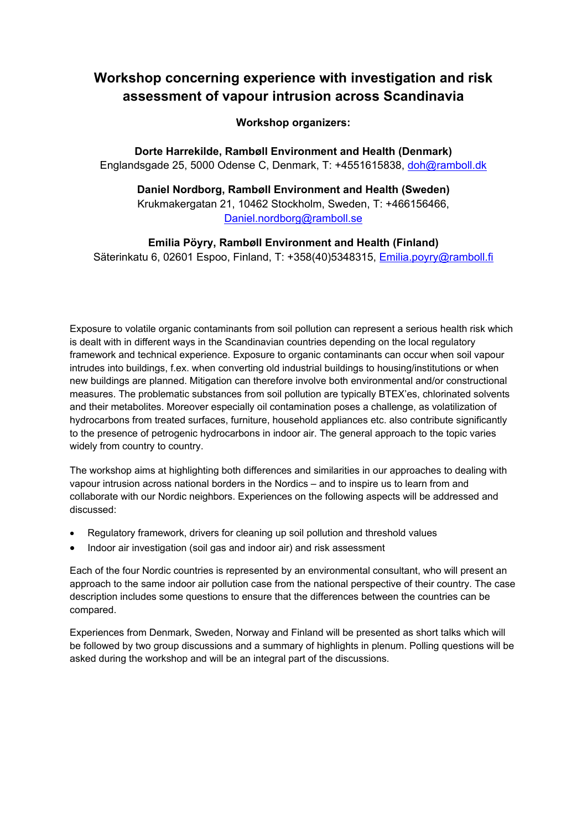## **Workshop concerning experience with investigation and risk assessment of vapour intrusion across Scandinavia**

**Workshop organizers:** 

**Dorte Harrekilde, Rambøll Environment and Health (Denmark)**  Englandsgade 25, 5000 Odense C, Denmark, T: +4551615838, doh@ramboll.dk

**Daniel Nordborg, Rambøll Environment and Health (Sweden)**  Krukmakergatan 21, 10462 Stockholm, Sweden, T: +466156466, Daniel.nordborg@ramboll.se

**Emilia Pöyry, Rambøll Environment and Health (Finland)**  Säterinkatu 6, 02601 Espoo, Finland, T: +358(40)5348315, Emilia.poyry@ramboll.fi

Exposure to volatile organic contaminants from soil pollution can represent a serious health risk which is dealt with in different ways in the Scandinavian countries depending on the local regulatory framework and technical experience. Exposure to organic contaminants can occur when soil vapour intrudes into buildings, f.ex. when converting old industrial buildings to housing/institutions or when new buildings are planned. Mitigation can therefore involve both environmental and/or constructional measures. The problematic substances from soil pollution are typically BTEX'es, chlorinated solvents and their metabolites. Moreover especially oil contamination poses a challenge, as volatilization of hydrocarbons from treated surfaces, furniture, household appliances etc. also contribute significantly to the presence of petrogenic hydrocarbons in indoor air. The general approach to the topic varies widely from country to country.

The workshop aims at highlighting both differences and similarities in our approaches to dealing with vapour intrusion across national borders in the Nordics – and to inspire us to learn from and collaborate with our Nordic neighbors. Experiences on the following aspects will be addressed and discussed:

- Regulatory framework, drivers for cleaning up soil pollution and threshold values
- Indoor air investigation (soil gas and indoor air) and risk assessment

Each of the four Nordic countries is represented by an environmental consultant, who will present an approach to the same indoor air pollution case from the national perspective of their country. The case description includes some questions to ensure that the differences between the countries can be compared.

Experiences from Denmark, Sweden, Norway and Finland will be presented as short talks which will be followed by two group discussions and a summary of highlights in plenum. Polling questions will be asked during the workshop and will be an integral part of the discussions.